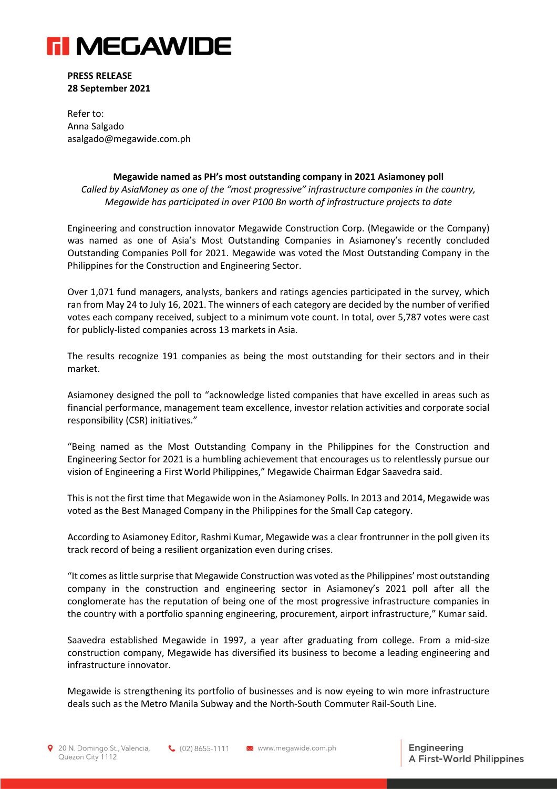

**PRESS RELEASE 28 September 2021**

Refer to: Anna Salgado asalgado@megawide.com.ph

## **Megawide named as PH's most outstanding company in 2021 Asiamoney poll**

*Called by AsiaMoney as one of the "most progressive" infrastructure companies in the country, Megawide has participated in over P100 Bn worth of infrastructure projects to date*

Engineering and construction innovator Megawide Construction Corp. (Megawide or the Company) was named as one of Asia's Most Outstanding Companies in Asiamoney's recently concluded Outstanding Companies Poll for 2021. Megawide was voted the Most Outstanding Company in the Philippines for the Construction and Engineering Sector.

Over 1,071 fund managers, analysts, bankers and ratings agencies participated in the survey, which ran from May 24 to July 16, 2021. The winners of each category are decided by the number of verified votes each company received, subject to a minimum vote count. In total, over 5,787 votes were cast for publicly-listed companies across 13 markets in Asia.

The results recognize 191 companies as being the most outstanding for their sectors and in their market.

Asiamoney designed the poll to "acknowledge listed companies that have excelled in areas such as financial performance, management team excellence, investor relation activities and corporate social responsibility (CSR) initiatives."

"Being named as the Most Outstanding Company in the Philippines for the Construction and Engineering Sector for 2021 is a humbling achievement that encourages us to relentlessly pursue our vision of Engineering a First World Philippines," Megawide Chairman Edgar Saavedra said.

This is not the first time that Megawide won in the Asiamoney Polls. In 2013 and 2014, Megawide was voted as the Best Managed Company in the Philippines for the Small Cap category.

According to Asiamoney Editor, Rashmi Kumar, Megawide was a clear frontrunner in the poll given its track record of being a resilient organization even during crises.

"It comes as little surprise that Megawide Construction was voted as the Philippines' most outstanding company in the construction and engineering sector in Asiamoney's 2021 poll after all the conglomerate has the reputation of being one of the most progressive infrastructure companies in the country with a portfolio spanning engineering, procurement, airport infrastructure," Kumar said.

Saavedra established Megawide in 1997, a year after graduating from college. From a mid-size construction company, Megawide has diversified its business to become a leading engineering and infrastructure innovator.

Megawide is strengthening its portfolio of businesses and is now eyeing to win more infrastructure deals such as the Metro Manila Subway and the North-South Commuter Rail-South Line.

20 N. Domingo St., Valencia, Quezon City 1112

6 (02) 8655-1111 24 www.megawide.com.ph